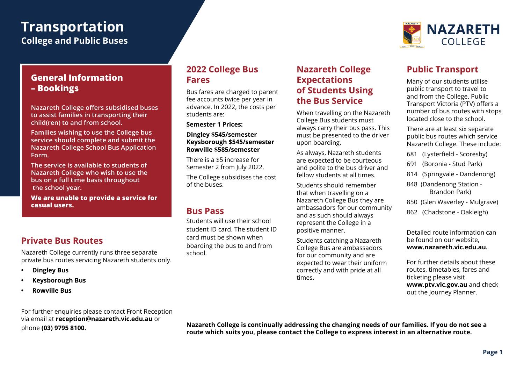# **Transportation**

**College and Public Buses**

### **General Information – Bookings**

**Nazareth College offers subsidised buses to assist families in transporting their child(ren) to and from school.** 

**Families wishing to use the College bus service should complete and submit the Nazareth College School Bus Application Form.**

**The service is available to students of Nazareth College who wish to use the bus on a full time basis throughout the school year.**

**We are unable to provide a service for casual users.**

# **Private Bus Routes**

Nazareth College currently runs three separate private bus routes servicing Nazareth students only.

- **• Dingley Bus**
- **• Keysborough Bus**
- **• Rowville Bus**

#### **2022 College Bus Fares**

Bus fares are charged to parent fee accounts twice per year in advance. In 2022, the costs per students are:

**Semester 1 Prices:**

#### **Dingley \$545/semester Keysborough \$545/semester Rowville \$585/semester**

There is a \$5 increase for Semester 2 from July 2022.

The College subsidises the cost of the buses.

#### **Bus Pass**

Students will use their school student ID card. The student ID card must be shown when boarding the bus to and from school.

## **Nazareth College Expectations of Students Using the Bus Service**

When travelling on the Nazareth College Bus students must always carry their bus pass. This must be presented to the driver upon boarding.

As always, Nazareth students are expected to be courteous and polite to the bus driver and fellow students at all times.

Students should remember that when travelling on a Nazareth College Bus they are ambassadors for our community and as such should always represent the College in a positive manner.

Students catching a Nazareth College Bus are ambassadors for our community and are expected to wear their uniform correctly and with pride at all times.



# **Public Transport**

Many of our students utilise public transport to travel to and from the College. Public Transport Victoria (PTV) offers a number of bus routes with stops located close to the school.

There are at least six separate public bus routes which service Nazareth College. These include:

- 681 (Lysterfield Scoresby)
- 691 (Boronia Stud Park)
- 814 (Springvale Dandenong)
- 848 (Dandenong Station Brandon Park)
- 850 (Glen Waverley Mulgrave)
- 862 (Chadstone Oakleigh)

Detailed route information can be found on our website, **www.nazareth.vic.edu.au.** 

For further details about these routes, timetables, fares and ticketing please visit **www.ptv.vic.gov.au** and check out the Journey Planner.

For further enquiries please contact Front Reception via email at **reception@nazareth.vic.edu.au** or phone **(03) 9795 8100.**

**Nazareth College is continually addressing the changing needs of our families. If you do not see a route which suits you, please contact the College to express interest in an alternative route.**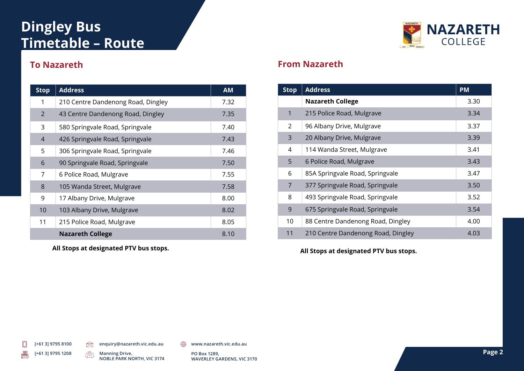# **Dingley Bus Timetable – Route**



# **To Nazareth**

| <b>Stop</b>    | <b>Address</b>                     | <b>AM</b> |
|----------------|------------------------------------|-----------|
| 1              | 210 Centre Dandenong Road, Dingley | 7.32      |
| 2              | 43 Centre Dandenong Road, Dingley  | 7.35      |
| 3              | 580 Springvale Road, Springvale    | 7.40      |
| $\overline{4}$ | 426 Springvale Road, Springvale    | 7.43      |
| 5              | 306 Springvale Road, Springvale    | 7.46      |
| 6              | 90 Springvale Road, Springvale     | 7.50      |
| 7              | 6 Police Road, Mulgrave            | 7.55      |
| 8              | 105 Wanda Street, Mulgrave         | 7.58      |
| 9              | 17 Albany Drive, Mulgrave          | 8.00      |
| 10             | 103 Albany Drive, Mulgrave         | 8.02      |
| 11             | 215 Police Road, Mulgrave          | 8.05      |
|                | <b>Nazareth College</b>            | 8.10      |

**All Stops at designated PTV bus stops.**

## **From Nazareth**

| <b>Stop</b> | <b>Address</b>                     | <b>PM</b> |
|-------------|------------------------------------|-----------|
|             | <b>Nazareth College</b>            | 3.30      |
| 1           | 215 Police Road, Mulgrave          | 3.34      |
| 2           | 96 Albany Drive, Mulgrave          | 3.37      |
| 3           | 20 Albany Drive, Mulgrave          | 3.39      |
| 4           | 114 Wanda Street, Mulgrave         | 3.41      |
| 5           | 6 Police Road, Mulgrave            | 3.43      |
| 6           | 85A Springvale Road, Springvale    | 3.47      |
| 7           | 377 Springvale Road, Springvale    | 3.50      |
| 8           | 493 Springvale Road, Springvale    | 3.52      |
| 9           | 675 Springvale Road, Springvale    | 3.54      |
| 10          | 88 Centre Dandenong Road, Dingley  | 4.00      |
| 11          | 210 Centre Dandenong Road, Dingley | 4.03      |

**All Stops at designated PTV bus stops.**

**[+61 3] 9795 8100 [+61 3] 9795 1208** 

倡

**enquiry@nazareth.vic.edu.au** <sup>1</sup> www.nazareth.vic.edu.au

TRI

Manning Drive, **Page 2 Page 2 Page 2 Page 2 Page 2 Page 2 Page 2 Page 2 Page 2 Page 2 NOBLE PARK NORTH, VIC 3174**

**PO Box 1289, WAVERLEY GARDENS, VIC 3170**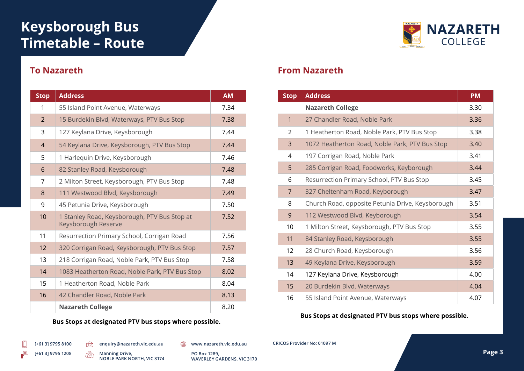# **Keysborough Bus Timetable – Route**



## **To Nazareth**

| <b>Stop</b>    | <b>Address</b>                                                      | <b>AM</b> |
|----------------|---------------------------------------------------------------------|-----------|
| 1              | 55 Island Point Avenue, Waterways                                   | 7.34      |
| 2              | 15 Burdekin Blvd, Waterways, PTV Bus Stop                           | 7.38      |
| 3              | 127 Keylana Drive, Keysborough                                      | 7.44      |
| $\overline{4}$ | 54 Keylana Drive, Keysborough, PTV Bus Stop                         | 7.44      |
| 5              | 1 Harlequin Drive, Keysborough                                      | 7.46      |
| 6              | 82 Stanley Road, Keysborough                                        | 7.48      |
| 7              | 2 Milton Street, Keysborough, PTV Bus Stop                          | 7.48      |
| $\mathsf{R}$   | 111 Westwood Blvd, Keysborough                                      | 7.49      |
| 9              | 45 Petunia Drive, Keysborough                                       | 7.50      |
| 10             | 1 Stanley Road, Keysborough, PTV Bus Stop at<br>Keysborough Reserve | 7.52      |
| 11             | Resurrection Primary School, Corrigan Road                          | 7.56      |
| 12             | 320 Corrigan Road, Keysborough, PTV Bus Stop                        | 7.57      |
| 13             | 218 Corrigan Road, Noble Park, PTV Bus Stop                         | 7.58      |
| 14             | 1083 Heatherton Road, Noble Park, PTV Bus Stop                      | 8.02      |
| 15             | 1 Heatherton Road, Noble Park                                       | 8.04      |
| 16             | 42 Chandler Road, Noble Park                                        | 8.13      |
|                | <b>Nazareth College</b>                                             | 8.20      |

**Bus Stops at designated PTV bus stops where possible.**

### **From Nazareth**

| <b>Stop</b>    | <b>Address</b>                                   | <b>PM</b> |
|----------------|--------------------------------------------------|-----------|
|                | <b>Nazareth College</b>                          | 3.30      |
| $\mathbf{1}$   | 27 Chandler Road, Noble Park                     | 3.36      |
| 2              | 1 Heatherton Road, Noble Park, PTV Bus Stop      | 3.38      |
| 3              | 1072 Heatherton Road, Noble Park, PTV Bus Stop   | 3.40      |
| 4              | 197 Corrigan Road, Noble Park                    | 3.41      |
| 5              | 285 Corrigan Road, Foodworks, Keyborough         | 3.44      |
| 6              | Resurrection Primary School, PTV Bus Stop        | 3.45      |
| $\overline{7}$ | 327 Cheltenham Road, Keyborough                  | 3.47      |
| 8              | Church Road, opposite Petunia Drive, Keysborough | 3.51      |
| 9              | 112 Westwood Blvd, Keyborough                    | 3.54      |
| 10             | 1 Milton Street, Keysborough, PTV Bus Stop       | 3.55      |
| 11             | 84 Stanley Road, Keysborough                     | 3.55      |
| 12             | 28 Church Road, Keysborough                      | 3.56      |
| 13             | 49 Keylana Drive, Keysborough                    | 3.59      |
| 14             | 127 Keylana Drive, Keysborough                   | 4.00      |
| 15             | 20 Burdekin Blvd, Waterways                      | 4.04      |
| 16             | 55 Island Point Avenue, Waterways                | 4.07      |

#### **Bus Stops at designated PTV bus stops where possible.**

**enquiry@nazareth.vic.edu.au www.nazareth.vic.edu.au CRICOS Provider No: 01097 M**

倡

 $\otimes$ TPD **NOBLE PARK NORTH, VIC 3174**

Manning Drive, **Page 3 Page 3 Page 3 Page 3 Page 3 Page 3 Page 3 Page 3 PO Box 1289, WAVERLEY GARDENS, VIC 3170**